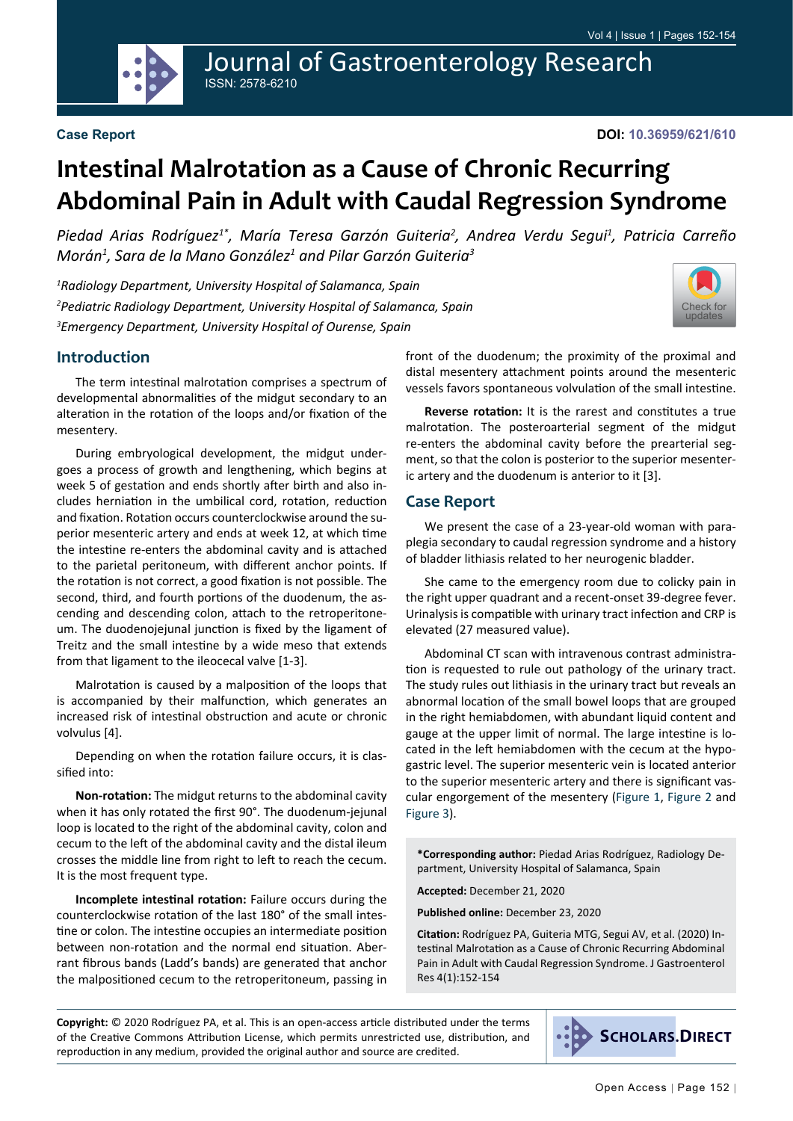

Journal of Gastroenterology Research ISSN: 2578-6210

[Check for](http://crossmark.crossref.org/dialog/?doi=10.36959/621/610&domain=pdf) updates

# **Intestinal Malrotation as a Cause of Chronic Recurring Abdominal Pain in Adult with Caudal Regression Syndrome**

Piedad Arias Rodríguez<sup>1\*</sup>, María Teresa Garzón Guiteria<sup>2</sup>, Andrea Verdu Segui<sup>1</sup>, Patricia Carreño *Morán1 , Sara de la Mano González1 and Pilar Garzón Guiteria3*

*1 Radiology Department, University Hospital of Salamanca, Spain 2 Pediatric Radiology Department, University Hospital of Salamanca, Spain 3 Emergency Department, University Hospital of Ourense, Spain*

## **Introduction**

The term intestinal malrotation comprises a spectrum of developmental abnormalities of the midgut secondary to an alteration in the rotation of the loops and/or fixation of the mesentery.

During embryological development, the midgut undergoes a process of growth and lengthening, which begins at week 5 of gestation and ends shortly after birth and also includes herniation in the umbilical cord, rotation, reduction and fixation. Rotation occurs counterclockwise around the superior mesenteric artery and ends at week 12, at which time the intestine re-enters the abdominal cavity and is attached to the parietal peritoneum, with different anchor points. If the rotation is not correct, a good fixation is not possible. The second, third, and fourth portions of the duodenum, the ascending and descending colon, attach to the retroperitoneum. The duodenojejunal junction is fixed by the ligament of Treitz and the small intestine by a wide meso that extends from that ligament to the ileocecal valve [1-3].

Malrotation is caused by a malposition of the loops that is accompanied by their malfunction, which generates an increased risk of intestinal obstruction and acute or chronic volvulus [4].

Depending on when the rotation failure occurs, it is classified into:

**Non-rotation:** The midgut returns to the abdominal cavity when it has only rotated the first 90°. The duodenum-jejunal loop is located to the right of the abdominal cavity, colon and cecum to the left of the abdominal cavity and the distal ileum crosses the middle line from right to left to reach the cecum. It is the most frequent type.

**Incomplete intestinal rotation:** Failure occurs during the counterclockwise rotation of the last 180° of the small intestine or colon. The intestine occupies an intermediate position between non-rotation and the normal end situation. Aberrant fibrous bands (Ladd's bands) are generated that anchor the malpositioned cecum to the retroperitoneum, passing in front of the duodenum; the proximity of the proximal and distal mesentery attachment points around the mesenteric vessels favors spontaneous volvulation of the small intestine.

**Reverse rotation:** It is the rarest and constitutes a true malrotation. The posteroarterial segment of the midgut re-enters the abdominal cavity before the prearterial segment, so that the colon is posterior to the superior mesenteric artery and the duodenum is anterior to it [3].

## **Case Report**

We present the case of a 23-year-old woman with paraplegia secondary to caudal regression syndrome and a history of bladder lithiasis related to her neurogenic bladder.

She came to the emergency room due to colicky pain in the right upper quadrant and a recent-onset 39-degree fever. Urinalysis is compatible with urinary tract infection and CRP is elevated (27 measured value).

Abdominal CT scan with intravenous contrast administration is requested to rule out pathology of the urinary tract. The study rules out lithiasis in the urinary tract but reveals an abnormal location of the small bowel loops that are grouped in the right hemiabdomen, with abundant liquid content and gauge at the upper limit of normal. The large intestine is located in the left hemiabdomen with the cecum at the hypogastric level. The superior mesenteric vein is located anterior to the superior mesenteric artery and there is significant vascular engorgement of the mesentery ([Figure 1](#page-1-0), [Figure 2](#page-1-0) and [Figure 3](#page-1-1)).

**\*Corresponding author:** Piedad Arias Rodríguez, Radiology Department, University Hospital of Salamanca, Spain

**Accepted:** December 21, 2020

**Published online:** December 23, 2020

**Citation:** Rodríguez PA, Guiteria MTG, Segui AV, et al. (2020) Intestinal Malrotation as a Cause of Chronic Recurring Abdominal Pain in Adult with Caudal Regression Syndrome. J Gastroenterol Res 4(1):152-154

**Copyright:** © 2020 Rodríguez PA, et al. This is an open-access article distributed under the terms of the Creative Commons Attribution License, which permits unrestricted use, distribution, and reproduction in any medium, provided the original author and source are credited.

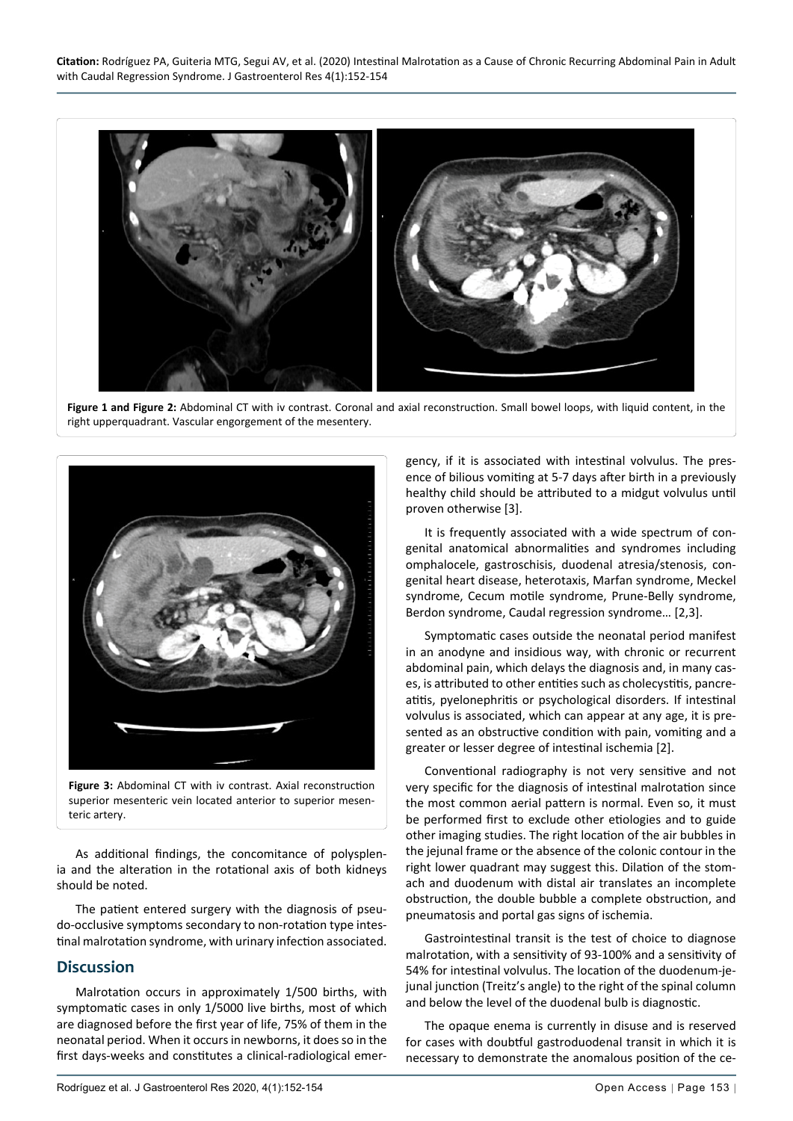<span id="page-1-0"></span>

**Figure 1 and Figure 2:** Abdominal CT with iv contrast. Coronal and axial reconstruction. Small bowel loops, with liquid content, in the right upperquadrant. Vascular engorgement of the mesentery.

<span id="page-1-1"></span>

**Figure 3:** Abdominal CT with iv contrast. Axial reconstruction superior mesenteric vein located anterior to superior mesenteric artery.

As additional findings, the concomitance of polysplenia and the alteration in the rotational axis of both kidneys should be noted.

The patient entered surgery with the diagnosis of pseudo-occlusive symptoms secondary to non-rotation type intestinal malrotation syndrome, with urinary infection associated.

# **Discussion**

Malrotation occurs in approximately 1/500 births, with symptomatic cases in only 1/5000 live births, most of which are diagnosed before the first year of life, 75% of them in the neonatal period. When it occurs in newborns, it does so in the first days-weeks and constitutes a clinical-radiological emergency, if it is associated with intestinal volvulus. The presence of bilious vomiting at 5-7 days after birth in a previously healthy child should be attributed to a midgut volvulus until proven otherwise [3].

It is frequently associated with a wide spectrum of congenital anatomical abnormalities and syndromes including omphalocele, gastroschisis, duodenal atresia/stenosis, congenital heart disease, heterotaxis, Marfan syndrome, Meckel syndrome, Cecum motile syndrome, Prune-Belly syndrome, Berdon syndrome, Caudal regression syndrome… [2,3].

Symptomatic cases outside the neonatal period manifest in an anodyne and insidious way, with chronic or recurrent abdominal pain, which delays the diagnosis and, in many cases, is attributed to other entities such as cholecystitis, pancreatitis, pyelonephritis or psychological disorders. If intestinal volvulus is associated, which can appear at any age, it is presented as an obstructive condition with pain, vomiting and a greater or lesser degree of intestinal ischemia [2].

Conventional radiography is not very sensitive and not very specific for the diagnosis of intestinal malrotation since the most common aerial pattern is normal. Even so, it must be performed first to exclude other etiologies and to guide other imaging studies. The right location of the air bubbles in the jejunal frame or the absence of the colonic contour in the right lower quadrant may suggest this. Dilation of the stomach and duodenum with distal air translates an incomplete obstruction, the double bubble a complete obstruction, and pneumatosis and portal gas signs of ischemia.

Gastrointestinal transit is the test of choice to diagnose malrotation, with a sensitivity of 93-100% and a sensitivity of 54% for intestinal volvulus. The location of the duodenum-jejunal junction (Treitz's angle) to the right of the spinal column and below the level of the duodenal bulb is diagnostic.

The opaque enema is currently in disuse and is reserved for cases with doubtful gastroduodenal transit in which it is necessary to demonstrate the anomalous position of the ce